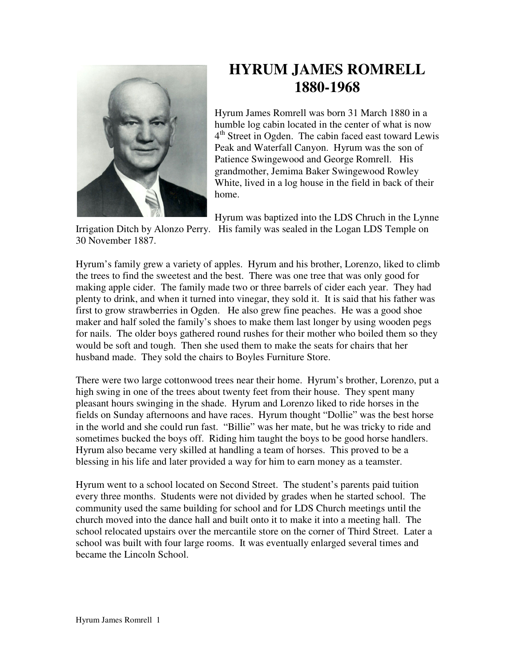

## **HYRUM JAMES ROMRELL 1880-1968**

Hyrum James Romrell was born 31 March 1880 in a humble log cabin located in the center of what is now 4<sup>th</sup> Street in Ogden. The cabin faced east toward Lewis Peak and Waterfall Canyon. Hyrum was the son of Patience Swingewood and George Romrell. His grandmother, Jemima Baker Swingewood Rowley White, lived in a log house in the field in back of their home.

Hyrum was baptized into the LDS Chruch in the Lynne

Irrigation Ditch by Alonzo Perry. His family was sealed in the Logan LDS Temple on 30 November 1887.

Hyrum's family grew a variety of apples. Hyrum and his brother, Lorenzo, liked to climb the trees to find the sweetest and the best. There was one tree that was only good for making apple cider. The family made two or three barrels of cider each year. They had plenty to drink, and when it turned into vinegar, they sold it. It is said that his father was first to grow strawberries in Ogden. He also grew fine peaches. He was a good shoe maker and half soled the family's shoes to make them last longer by using wooden pegs for nails. The older boys gathered round rushes for their mother who boiled them so they would be soft and tough. Then she used them to make the seats for chairs that her husband made. They sold the chairs to Boyles Furniture Store.

There were two large cottonwood trees near their home. Hyrum's brother, Lorenzo, put a high swing in one of the trees about twenty feet from their house. They spent many pleasant hours swinging in the shade. Hyrum and Lorenzo liked to ride horses in the fields on Sunday afternoons and have races. Hyrum thought "Dollie" was the best horse in the world and she could run fast. "Billie" was her mate, but he was tricky to ride and sometimes bucked the boys off. Riding him taught the boys to be good horse handlers. Hyrum also became very skilled at handling a team of horses. This proved to be a blessing in his life and later provided a way for him to earn money as a teamster.

Hyrum went to a school located on Second Street. The student's parents paid tuition every three months. Students were not divided by grades when he started school. The community used the same building for school and for LDS Church meetings until the church moved into the dance hall and built onto it to make it into a meeting hall. The school relocated upstairs over the mercantile store on the corner of Third Street. Later a school was built with four large rooms. It was eventually enlarged several times and became the Lincoln School.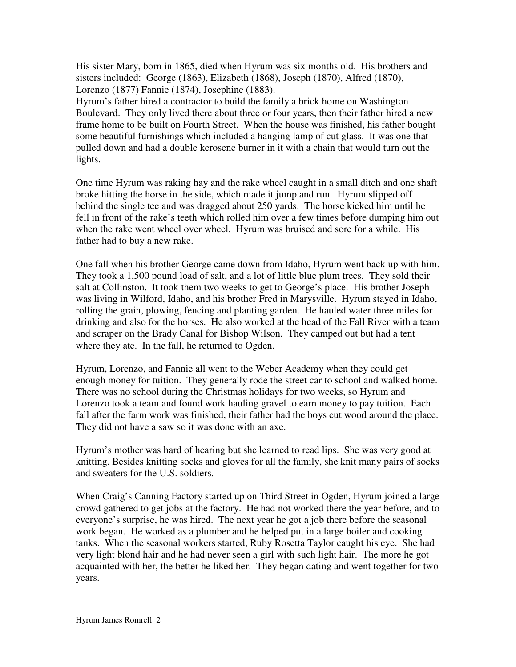His sister Mary, born in 1865, died when Hyrum was six months old. His brothers and sisters included: George (1863), Elizabeth (1868), Joseph (1870), Alfred (1870), Lorenzo (1877) Fannie (1874), Josephine (1883).

Hyrum's father hired a contractor to build the family a brick home on Washington Boulevard. They only lived there about three or four years, then their father hired a new frame home to be built on Fourth Street. When the house was finished, his father bought some beautiful furnishings which included a hanging lamp of cut glass. It was one that pulled down and had a double kerosene burner in it with a chain that would turn out the lights.

One time Hyrum was raking hay and the rake wheel caught in a small ditch and one shaft broke hitting the horse in the side, which made it jump and run. Hyrum slipped off behind the single tee and was dragged about 250 yards. The horse kicked him until he fell in front of the rake's teeth which rolled him over a few times before dumping him out when the rake went wheel over wheel. Hyrum was bruised and sore for a while. His father had to buy a new rake.

One fall when his brother George came down from Idaho, Hyrum went back up with him. They took a 1,500 pound load of salt, and a lot of little blue plum trees. They sold their salt at Collinston. It took them two weeks to get to George's place. His brother Joseph was living in Wilford, Idaho, and his brother Fred in Marysville. Hyrum stayed in Idaho, rolling the grain, plowing, fencing and planting garden. He hauled water three miles for drinking and also for the horses. He also worked at the head of the Fall River with a team and scraper on the Brady Canal for Bishop Wilson. They camped out but had a tent where they ate. In the fall, he returned to Ogden.

Hyrum, Lorenzo, and Fannie all went to the Weber Academy when they could get enough money for tuition. They generally rode the street car to school and walked home. There was no school during the Christmas holidays for two weeks, so Hyrum and Lorenzo took a team and found work hauling gravel to earn money to pay tuition. Each fall after the farm work was finished, their father had the boys cut wood around the place. They did not have a saw so it was done with an axe.

Hyrum's mother was hard of hearing but she learned to read lips. She was very good at knitting. Besides knitting socks and gloves for all the family, she knit many pairs of socks and sweaters for the U.S. soldiers.

When Craig's Canning Factory started up on Third Street in Ogden, Hyrum joined a large crowd gathered to get jobs at the factory. He had not worked there the year before, and to everyone's surprise, he was hired. The next year he got a job there before the seasonal work began. He worked as a plumber and he helped put in a large boiler and cooking tanks. When the seasonal workers started, Ruby Rosetta Taylor caught his eye. She had very light blond hair and he had never seen a girl with such light hair. The more he got acquainted with her, the better he liked her. They began dating and went together for two years.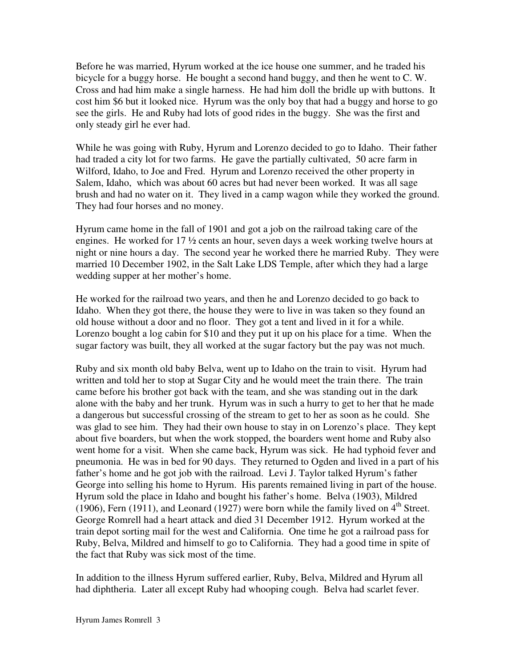Before he was married, Hyrum worked at the ice house one summer, and he traded his bicycle for a buggy horse. He bought a second hand buggy, and then he went to C. W. Cross and had him make a single harness. He had him doll the bridle up with buttons. It cost him \$6 but it looked nice. Hyrum was the only boy that had a buggy and horse to go see the girls. He and Ruby had lots of good rides in the buggy. She was the first and only steady girl he ever had.

While he was going with Ruby, Hyrum and Lorenzo decided to go to Idaho. Their father had traded a city lot for two farms. He gave the partially cultivated, 50 acre farm in Wilford, Idaho, to Joe and Fred. Hyrum and Lorenzo received the other property in Salem, Idaho, which was about 60 acres but had never been worked. It was all sage brush and had no water on it. They lived in a camp wagon while they worked the ground. They had four horses and no money.

Hyrum came home in the fall of 1901 and got a job on the railroad taking care of the engines. He worked for 17 ½ cents an hour, seven days a week working twelve hours at night or nine hours a day. The second year he worked there he married Ruby. They were married 10 December 1902, in the Salt Lake LDS Temple, after which they had a large wedding supper at her mother's home.

He worked for the railroad two years, and then he and Lorenzo decided to go back to Idaho. When they got there, the house they were to live in was taken so they found an old house without a door and no floor. They got a tent and lived in it for a while. Lorenzo bought a log cabin for \$10 and they put it up on his place for a time. When the sugar factory was built, they all worked at the sugar factory but the pay was not much.

Ruby and six month old baby Belva, went up to Idaho on the train to visit. Hyrum had written and told her to stop at Sugar City and he would meet the train there. The train came before his brother got back with the team, and she was standing out in the dark alone with the baby and her trunk. Hyrum was in such a hurry to get to her that he made a dangerous but successful crossing of the stream to get to her as soon as he could. She was glad to see him. They had their own house to stay in on Lorenzo's place. They kept about five boarders, but when the work stopped, the boarders went home and Ruby also went home for a visit. When she came back, Hyrum was sick. He had typhoid fever and pneumonia. He was in bed for 90 days. They returned to Ogden and lived in a part of his father's home and he got job with the railroad. Levi J. Taylor talked Hyrum's father George into selling his home to Hyrum. His parents remained living in part of the house. Hyrum sold the place in Idaho and bought his father's home. Belva (1903), Mildred (1906), Fern (1911), and Leonard (1927) were born while the family lived on  $4<sup>th</sup>$  Street. George Romrell had a heart attack and died 31 December 1912. Hyrum worked at the train depot sorting mail for the west and California. One time he got a railroad pass for Ruby, Belva, Mildred and himself to go to California. They had a good time in spite of the fact that Ruby was sick most of the time.

In addition to the illness Hyrum suffered earlier, Ruby, Belva, Mildred and Hyrum all had diphtheria. Later all except Ruby had whooping cough. Belva had scarlet fever.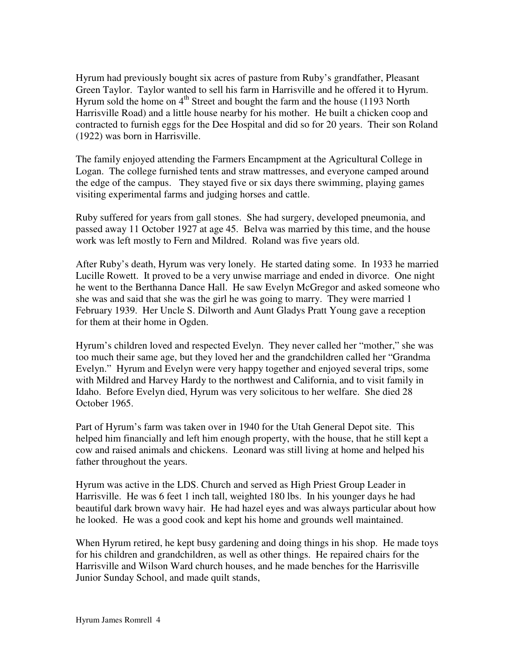Hyrum had previously bought six acres of pasture from Ruby's grandfather, Pleasant Green Taylor. Taylor wanted to sell his farm in Harrisville and he offered it to Hyrum. Hyrum sold the home on  $4<sup>th</sup>$  Street and bought the farm and the house (1193 North Harrisville Road) and a little house nearby for his mother. He built a chicken coop and contracted to furnish eggs for the Dee Hospital and did so for 20 years. Their son Roland (1922) was born in Harrisville.

The family enjoyed attending the Farmers Encampment at the Agricultural College in Logan. The college furnished tents and straw mattresses, and everyone camped around the edge of the campus. They stayed five or six days there swimming, playing games visiting experimental farms and judging horses and cattle.

Ruby suffered for years from gall stones. She had surgery, developed pneumonia, and passed away 11 October 1927 at age 45. Belva was married by this time, and the house work was left mostly to Fern and Mildred. Roland was five years old.

After Ruby's death, Hyrum was very lonely. He started dating some. In 1933 he married Lucille Rowett. It proved to be a very unwise marriage and ended in divorce. One night he went to the Berthanna Dance Hall. He saw Evelyn McGregor and asked someone who she was and said that she was the girl he was going to marry. They were married 1 February 1939. Her Uncle S. Dilworth and Aunt Gladys Pratt Young gave a reception for them at their home in Ogden.

Hyrum's children loved and respected Evelyn. They never called her "mother," she was too much their same age, but they loved her and the grandchildren called her "Grandma Evelyn." Hyrum and Evelyn were very happy together and enjoyed several trips, some with Mildred and Harvey Hardy to the northwest and California, and to visit family in Idaho. Before Evelyn died, Hyrum was very solicitous to her welfare. She died 28 October 1965.

Part of Hyrum's farm was taken over in 1940 for the Utah General Depot site. This helped him financially and left him enough property, with the house, that he still kept a cow and raised animals and chickens. Leonard was still living at home and helped his father throughout the years.

Hyrum was active in the LDS. Church and served as High Priest Group Leader in Harrisville. He was 6 feet 1 inch tall, weighted 180 lbs. In his younger days he had beautiful dark brown wavy hair. He had hazel eyes and was always particular about how he looked. He was a good cook and kept his home and grounds well maintained.

When Hyrum retired, he kept busy gardening and doing things in his shop. He made toys for his children and grandchildren, as well as other things. He repaired chairs for the Harrisville and Wilson Ward church houses, and he made benches for the Harrisville Junior Sunday School, and made quilt stands,